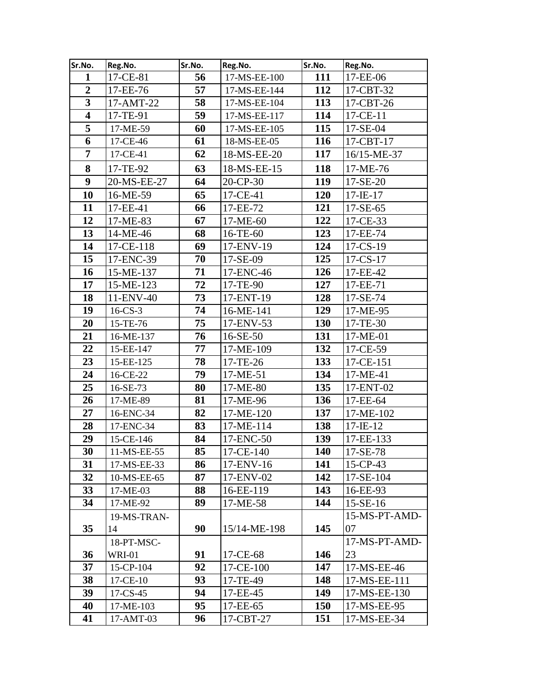| Sr.No.                  | Reg.No.       | Sr.No. | Reg.No.      | Sr.No.     | Reg.No.        |
|-------------------------|---------------|--------|--------------|------------|----------------|
| $\mathbf{1}$            | 17-CE-81      | 56     | 17-MS-EE-100 | 111        | 17-EE-06       |
| $\overline{2}$          | 17-EE-76      | 57     | 17-MS-EE-144 | 112        | 17-CBT-32      |
| $\overline{\mathbf{3}}$ | 17-AMT-22     | 58     | 17-MS-EE-104 | 113        | 17-CBT-26      |
| $\overline{\mathbf{4}}$ | 17-TE-91      | 59     | 17-MS-EE-117 | 114        | 17-CE-11       |
| 5                       | 17-ME-59      | 60     | 17-MS-EE-105 | 115        | $17-SE-04$     |
| 6                       | 17-CE-46      | 61     | 18-MS-EE-05  | 116        | 17-CBT-17      |
| $\overline{7}$          | 17-CE-41      | 62     | 18-MS-EE-20  | 117        | 16/15-ME-37    |
| 8                       | 17-TE-92      | 63     | 18-MS-EE-15  | 118        | 17-ME-76       |
| 9                       | 20-MS-EE-27   | 64     | 20-CP-30     | 119        | 17-SE-20       |
| 10                      | 16-ME-59      | 65     | 17-CE-41     | <b>120</b> | $17 - IE - 17$ |
| 11                      | 17-EE-41      | 66     | 17-EE-72     | 121        | $17 - SE - 65$ |
| 12                      | 17-ME-83      | 67     | 17-ME-60     | 122        | 17-CE-33       |
| 13                      | 14-ME-46      | 68     | $16$ -TE-60  | 123        | 17-EE-74       |
| 14                      | 17-CE-118     | 69     | 17-ENV-19    | 124        | 17-CS-19       |
| 15                      | 17-ENC-39     | 70     | 17-SE-09     | 125        | 17-CS-17       |
| 16                      | 15-ME-137     | 71     | 17-ENC-46    | 126        | 17-EE-42       |
| 17                      | 15-ME-123     | 72     | 17-TE-90     | 127        | 17-EE-71       |
| 18                      | 11-ENV-40     | 73     | 17-ENT-19    | 128        | 17-SE-74       |
| 19                      | $16$ -CS-3    | 74     | 16-ME-141    | 129        | 17-ME-95       |
| 20                      | 15-TE-76      | 75     | 17-ENV-53    | <b>130</b> | 17-TE-30       |
| 21                      | 16-ME-137     | 76     | 16-SE-50     | 131        | 17-ME-01       |
| 22                      | 15-EE-147     | 77     | 17-ME-109    | 132        | 17-CE-59       |
| 23                      | 15-EE-125     | 78     | 17-TE-26     | 133        | 17-CE-151      |
| 24                      | 16-CE-22      | 79     | 17-ME-51     | 134        | 17-ME-41       |
| 25                      | 16-SE-73      | 80     | 17-ME-80     | 135        | 17-ENT-02      |
| 26                      | 17-ME-89      | 81     | 17-ME-96     | 136        | 17-EE-64       |
| 27                      | 16-ENC-34     | 82     | 17-ME-120    | 137        | 17-ME-102      |
| 28                      | 17-ENC-34     | 83     | 17-ME-114    | 138        | $17 - IE - 12$ |
| 29                      | 15-CE-146     | 84     | 17-ENC-50    | 139        | 17-EE-133      |
| 30                      | 11-MS-EE-55   | 85     | 17-CE-140    | 140        | 17-SE-78       |
| 31                      | 17-MS-EE-33   | 86     | 17-ENV-16    | 141        | $15$ -CP-43    |
| 32                      | 10-MS-EE-65   | 87     | 17-ENV-02    | 142        | 17-SE-104      |
| 33                      | 17-ME-03      | 88     | 16-EE-119    | 143        | 16-EE-93       |
| 34                      | 17-ME-92      | 89     | 17-ME-58     | 144        | $15-SE-16$     |
|                         | 19-MS-TRAN-   |        |              |            | 15-MS-PT-AMD-  |
| 35                      | 14            | 90     | 15/14-ME-198 | 145        | 07             |
|                         | 18-PT-MSC-    |        |              |            | 17-MS-PT-AMD-  |
| 36                      | <b>WRI-01</b> | 91     | 17-CE-68     | 146        | 23             |
| 37                      | 15-CP-104     | 92     | 17-CE-100    | 147        | 17-MS-EE-46    |
| 38                      | 17-CE-10      | 93     | 17-TE-49     | 148        | 17-MS-EE-111   |
| 39                      | $17$ -CS-45   | 94     | 17-EE-45     | 149        | 17-MS-EE-130   |
| 40                      | 17-ME-103     | 95     | 17-EE-65     | <b>150</b> | 17-MS-EE-95    |
| 41                      | 17-AMT-03     | 96     | 17-CBT-27    | 151        | 17-MS-EE-34    |